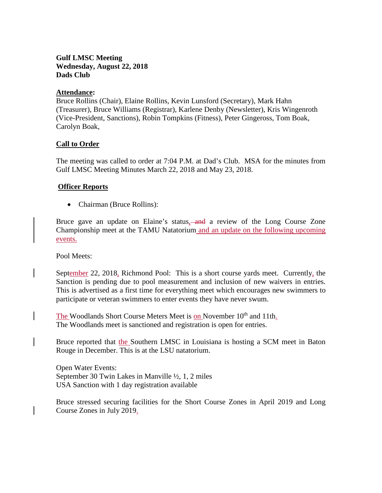## **Gulf LMSC Meeting Wednesday, August 22, 2018 Dads Club**

### **Attendance:**

Bruce Rollins (Chair), Elaine Rollins, Kevin Lunsford (Secretary), Mark Hahn (Treasurer), Bruce Williams (Registrar), Karlene Denby (Newsletter), Kris Wingenroth (Vice-President, Sanctions), Robin Tompkins (Fitness), Peter Gingeross, Tom Boak, Carolyn Boak,

## **Call to Order**

The meeting was called to order at 7:04 P.M. at Dad's Club. MSA for the minutes from Gulf LMSC Meeting Minutes March 22, 2018 and May 23, 2018.

## **Officer Reports**

• Chairman (Bruce Rollins):

Bruce gave an update on Elaine's status, and a review of the Long Course Zone Championship meet at the TAMU Natatorium and an update on the following upcoming events.

Pool Meets:

September 22, 2018, Richmond Pool: This is a short course yards meet. Currently, the Sanction is pending due to pool measurement and inclusion of new waivers in entries. This is advertised as a first time for everything meet which encourages new swimmers to participate or veteran swimmers to enter events they have never swum.

The Woodlands Short Course Meters Meet is on November 10<sup>th</sup> and 11th. The Woodlands meet is sanctioned and registration is open for entries.

Bruce reported that the Southern LMSC in Louisiana is hosting a SCM meet in Baton Rouge in December. This is at the LSU natatorium.

Open Water Events: September 30 Twin Lakes in Manville ½, 1, 2 miles USA Sanction with 1 day registration available

Bruce stressed securing facilities for the Short Course Zones in April 2019 and Long Course Zones in July 2019.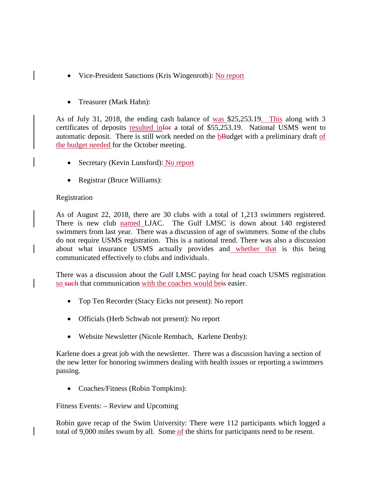- Vice-President Sanctions (Kris Wingenroth): No report
- Treasurer (Mark Hahn):

As of July 31, 2018, the ending cash balance of was \$25,253.19. This along with 3 certificates of deposits resulted infor a total of \$55,253.19. National USMS went to automatic deposit. There is still work needed on the bBudget with a preliminary draft of the budget needed for the October meeting.

- Secretary (Kevin Lunsford): No report
- Registrar (Bruce Williams):

#### Registration

As of August 22, 2018, there are 30 clubs with a total of 1,213 swimmers registered. There is new club named LJAC. The Gulf LMSC is down about 140 registered swimmers from last year. There was a discussion of age of swimmers. Some of the clubs do not require USMS registration. This is a national trend. There was also a discussion about what insurance USMS actually provides and whether that is this being communicated effectively to clubs and individuals.

There was a discussion about the Gulf LMSC paying for head coach USMS registration so such that communication with the coaches would beis easier.

- Top Ten Recorder (Stacy Eicks not present): No report
- Officials (Herb Schwab not present): No report
- Website Newsletter (Nicole Rembach, Karlene Denby):

Karlene does a great job with the newsletter. There was a discussion having a section of the new letter for honoring swimmers dealing with health issues or reporting a swimmers passing.

• Coaches/Fitness (Robin Tompkins):

#### Fitness Events: – Review and Upcoming

Robin gave recap of the Swim University: There were 112 participants which logged a total of 9,000 miles swum by all. Some of the shirts for participants need to be resent.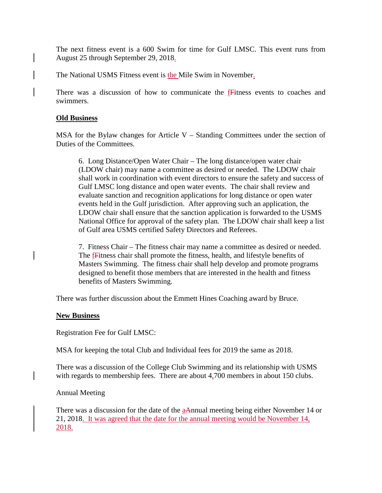The next fitness event is a 600 Swim for time for Gulf LMSC. This event runs from August 25 through September 29, 2018.

The National USMS Fitness event is the Mile Swim in November.

There was a discussion of how to communicate the **F**itness events to coaches and swimmers.

## **Old Business**

 $MSA$  for the Bylaw changes for Article V – Standing Committees under the section of Duties of the Committees.

6. Long Distance/Open Water Chair – The long distance/open water chair (LDOW chair) may name a committee as desired or needed. The LDOW chair shall work in coordination with event directors to ensure the safety and success of Gulf LMSC long distance and open water events. The chair shall review and evaluate sanction and recognition applications for long distance or open water events held in the Gulf jurisdiction. After approving such an application, the LDOW chair shall ensure that the sanction application is forwarded to the USMS National Office for approval of the safety plan. The LDOW chair shall keep a list of Gulf area USMS certified Safety Directors and Referees.

7. Fitness Chair – The fitness chair may name a committee as desired or needed. The fFitness chair shall promote the fitness, health, and lifestyle benefits of Masters Swimming. The fitness chair shall help develop and promote programs designed to benefit those members that are interested in the health and fitness benefits of Masters Swimming.

There was further discussion about the Emmett Hines Coaching award by Bruce.

#### **New Business**

Registration Fee for Gulf LMSC:

MSA for keeping the total Club and Individual fees for 2019 the same as 2018.

There was a discussion of the College Club Swimming and its relationship with USMS with regards to membership fees. There are about 4,700 members in about 150 clubs.

#### Annual Meeting

There was a discussion for the date of the **aAnnual** meeting being either November 14 or 21, 2018. It was agreed that the date for the annual meeting would be November 14, 2018.